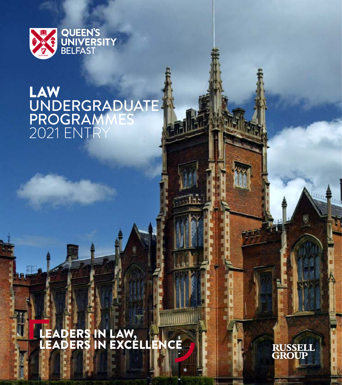

## LAW UNDERGRADUATE PROGRAMMES 2021 ENTRY

LEADERS IN LAW, LEADERS IN EXCELLENCE

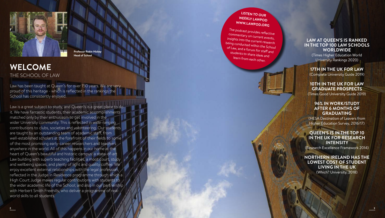

**Professor Robin Hickey Head of School**

### **WELCOME**  THE SCHOOL OF LAW

Law has been taught at Queen's for over 150 years. We are very proud of this heritage - which is reflected in the rankings the School has consistently enjoyed.

Law is a great subject to study, and Queen's is a great place to do it. We have fantastic students, their academic accomplishments matched only by their enthusiasm to get involved in the wider University community. This is reflected in wide-ranging contributions to clubs, societies and volunteering. Our students are taught by an outstanding team of academic staff, from well-established scholars at the forefront of their fields to some of the most promising early-career researchers and teachers anywhere in the world. All of this happens in our home at the heart of Queen's beautiful and historic campus: a state-of-art Law building with superb teaching facilities, a moot court, study and wellbeing spaces, and plenty of light and quality coffee. We enjoy excellent external relationships with the legal profession, reflected in the Judge in Residence programme through which a High Court Judge makes regular contributions with students to the wider academic life of the School; and also in our partnership with Herbert Smith Freehills, who deliver a programme of realworld skills to all students.

# **LISTEN TO OUR WEEKLY LAWPOD WWW.LAWPOD.ORG**

The podcast provides reflective<br>commentary on current events,<br>insights into the current research<br>being conducted within the School<br>of Law, and a forum for staff and<br>students to share ideas and<br>learn from each other.



#### **LAW AT QUEEN'S IS RANKED IN THE TOP 100 LAW SCHOOLS WORLDWIDE** (Times Higher Education World

University Rankings 2020)

**17TH IN THE UK FOR LAW** (Complete University Guide 2019)

### **10TH IN THE UK FOR LAW GRADUATE PROSPECTS**

(Times Good University Guide 2019)

#### **96% IN WORK/STUDY AFTER 6 MONTHS OF GRADUATING**

(HESA Destination of Leavers from Higher Education Survey, 2016/17)

#### **QUEEN'S IS IN THE TOP 10 IN THE UK FOR RESEARCH INTENSITY**

(Research Excellence Framework 2014)

### **NORTHERN IRELAND HAS THE LOWEST COST OF STUDENT LIVING IN THE UK** (Which? University, 2018)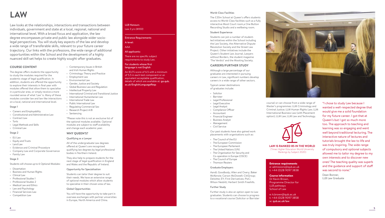## **LAW**

Law looks at the relationships, interactions and transactions between individuals, government and state at a local, regional, national and international level. With a broad focus and application, the law degree encompasses private and public law alongside wider sociolegal perspectives. You will study key aspects of the law and develop a wide range of transferable skills, relevant to your future career trajectory. Our links with the professions, the wide range of additional opportunities within the School and the development of a highly nuanced skill set helps to create highly sought-after graduates.

#### **COURSE CONTENT**

The degree offers students the opportunity to study the modules required for the academic stage of legal qualification. In addition, students are offered the opportunity to explore their interests in final year with modules offered that allow them to specialise in a particular area, or simply receive a more rounded sense of what 'Law' is. Many of these modules consider law and law-like interactions on a local, national and international level.

#### Stage 1

- Careers and Employability
- Constitutional and Administrative Law
- Contract Law
- Torts
- Legal Methods and Skills
- Criminal Law

#### Stage 2

- EU Law
- Equity and Trusts
- Land Law • Evidence and Criminal Procedure
- Company Law and Corporate Governance • Family Law

#### Stage 3

Students will choose up to 6 Optional Modules:

- Dissertation
- Business and Human Rights
- Clinical Law
- Professional Studies 1
- Professional Studies 2 • Medical Law and Ethics
- Law and Psychology
- Financial Services Law
- Competition Law

#### LLB Honours Law *3 yrs (M100)*

#### Entrance Requirements

### A-level:

#### All applicants:

There are no specific subject requirements to study Law.

#### For students whose first language is not English

An IELTS score of 6.5 with a minimum of 5.5 in each test component or an equivalent acceptable qualification, ac.uk/EnglishLanguageReqs

### AAA

details of which are available at: go.qub.

## • International Criminal and Transitional Justice • International Humanitarian Law • Regulating Commercial Sex \*Please note this is not an exclusive list of

the optional modules available. Optional modules are subject to staff availability and change each academic year.

• Contemporary Issues in British and Irish Human Rights • Criminology: Theory and Practice

• Employment Law • Environmental Law • Gender, Justice and Society • Global Business Law and Regulation • Intellectual Property Law

• International Trade Law • Public International Law

• Research Project A/B • Sentencing

#### **WHY QUEEN'S?**

#### Qualifying as a Lawyer

All of the undergraduate Law degrees offered at Queen's are recognised qualifying law degrees by legal professional bodies in Northern Ireland.

They also help to prepare students for the next stage of legal qualification in England and Wales and the Republic of Ireland.

#### Opportunity for Specialisation

Students can tailor their degree to suit their needs. We have an extensive range of optional modules which allow students to specialise in their chosen area of law.

#### Global Opportunities

You will have the opportunity to take part in overseas exchanges with partner universities in Europe, North America and China.

#### • Thomson Reuters

• The Council of the EU

#### Graduate Employers

World-Class Facilities

Student Experience

Project. Other initiatives include the

**CAREERS/FURTHER STUDY** Although a large percentage of our graduates are interested in pursuing

Typical career destinations of graduates include:

• Solicitor • Barrister • Legal Professional • Legal Executive • Legal Analyst • Compliance Officer • Accountant • Financial Engineer • Business Analyst • Management • Civil Service

AandL Goodbody; Allen and Overy; Baker McKenzie; Carson McDowell; CitiGroup; Deloitte; EY; First Derivatives; PwC; Wilson Nesbitt; Herbert Smith Freehills.

Our past students have also gained work placements with organisations such as:

#### Further Study

Further study is also an option open to Law graduates. Students can choose to progress to a vocational course (Solicitor or Barrister



course) or can choose from a wide range of Master's programmes: LLM Criminology and Criminal Justice; LLM Human Rights Law; LLM International Business Law (with Placement option); LLM Law; LLM Law and Technology.



#### **LAW IS RANKED 85 IN THE WORLD** (Times Higher Education World University Rankings by Subject 2020)

Entrance requirements e: admissions@qub.ac.uk t: +44 (0)28 9097 3838

#### Course information

Dr Kevin Brown, Programme Director for LLB pathways School of Law

e: k.brown@qub.ac.uk t: +44 (0)28 9097 3858 w: qub.ac.uk/law

"I chose to study Law because I wanted a well-respected degree that would give me a solid foundation for my future career. I got that at Queen's but I got so much more too. The approach to teaching and learning was so engaging and went well beyond traditional lecturing. The interactive nature of lectures and tutorials brought the law to life and was truly inspiring. The wide range of compulsory and optional subjects allowed me to tailor my degree to my own interests and to discover new ones! The teaching quality was superb and the guidance and support of staff was second to none."

Dean Bonner, LLB Law Graduate

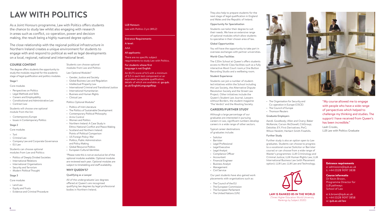## **LAW WITH POLITICS**

As a Joint Honours programme, Law with Politics offers students the chance to study law whilst also engaging with research in areas such as conflict, co-operation, power and decision making, the result being a highly nuanced degree option.

The close relationship with the regional political infrastructure in Northern Ireland creates a unique environment for students to engage with and respond to political as well as legal developments on a local, regional, national and international level.

> Students can choose optional modules from Law and Politics Law Optional Modules\* • Gender, Justice and Society • Global Business Law and Regulation • Intellectual Property Law

• International Humanitarian • Business and Human Rights

Politics Optional Modules\* • Politics of Irish Literature

• Clinical Law

• Arms Control • Women and Politics

**WHY QUEEN'S?** Qualifying as a Lawyer

bodies in Northern Ireland.

• International Criminal and Transitional Justice

• The Politics of Sustainable Development • Contemporary Political Philosophy

Ethno-National Conflict and Peace Making

\*Please note this is not an exclusive list of the optional modules available. Optional modules are reviewed each year. Optional modules are subject to timetabling and staff availability.

All of the undergraduate Law degrees offered at Queen's are recognised qualifying law degrees by legal professional

• Northern Ireland: A Case Study in

• Scotland and Northern Ireland: Points of Political Comparison • US Foreign Policy: War • Politics, Public Administration and Policy Making • Global Resource Politics • European Cultural Identities

#### **COURSE CONTENT**

The degree offers students the opportunity to study the modules required for the academic stage of legal qualification and politics modules.

#### Stage 1

- Core modules
- Perspectives on Politics
- Legal Methods and Skills
- Careers and Employability
- Constitutional and Administrative Law • Contract Law

Students will choose one optional module from the list:

- Contemporary Europe
- Issues in Contemporary Politics

#### Stage 2

#### Core modules

- Tort
- Criminal Law
- Company Law and Corporate Governance • EU Law
- Students can choose optional modules from Law and Politics:
- Politics of Deeply Divided Societies
- International Relations
- International Organisations
- Security and Terrorism
- Modern Political Thought

#### Stage 3

Core modules

- Land Law
- Equity and Trusts
- Evidence and Criminal Procedure

#### LLB Honours Law with Politics *3 yrs (M1L2)*

#### Entrance Requirements A-level:

### AAA

#### All applicants:

There are no specific subject requirements to study Law with Politics.

#### For students whose first language is not English

An IELTS score of 6.5 with a minimum of 5.5 in each test component or an equivalent acceptable qualification, details of which are available at: go.qub. ac.uk/EnglishLanguageReqs

They also help to prepare students for the next stage of legal qualification in England and Wales and the Republic of Ireland.

#### Opportunity for Specialisation

Students can tailor their degree to suit their needs. We have an extensive range of optional modules which allow students to specialise in their chosen area of law.

#### Global Opportunities

You will have the opportunity to take part in overseas exchanges with partner universities.

#### World-Class Facilities

The £20m School at Queen's offers students access to World-Class facilities such as a fully interactive Moot Court room,a One Button Recording Studio and a wellbeing room.

#### Student Experience

Students can join a number of studentled initiatives within the School including the Law Society, the Alternative Dispute Resolution Society and the Street Law Project. Other initiatives include the Queen's Student Law Journal, Lawyers without Borders, the student magazine 'The Verdict' and the Mooting Society.

#### **CAREERS/FURTHER STUDY**

Although a large percentage of our graduates are interested in pursuing careers in Law, significant numbers develop careers in a wide range of other sectors.

Typical career destinations of graduates include:

- Solicitor
- Barrister
- Legal Professional
- Legal Executive
- Legal Analyst
	- Compliance Officer
	- Accountant
	- Financial Engineer • Business Analyst
	- Management
	- Civil Service

Our past students have also gained work placements with organisations such as:

- The Council of the EU
- The European Commission
- The European Parliament
- The United Nations (UN)



- The Organisation for Security and Co-operation in Europe (OSCE)
- The Council of Europe
- Thomson Reuters

#### Graduate Employers

AandL Goodbody; Allen and Overy; Baker McKenzie; Carson McDowell; CitiGroup; Deloitte; EY; First Derivatives; PwC; Wilson Nesbitt; Herbert Smith Freehills.

#### Further Study

Further study is also an option open to Law graduates. Students can choose to progress to a vocational course (Solicitor or Barrister course) or can choose from a wide range of Master's programmes: LLM Criminology and Criminal Justice; LLM Human Rights Law; LLM International Business Law (with Placement option); LLM Law; LLM Law and Technology.



#### **LAW IS RANKED 85 IN THE WORLD** (Times Higher Education World University Rankings by Subject 2020)

"My course allowed me to engage with people who have a wide range of perspectives which helped to challenge my thinking and studies. The support I have received from Queen's has been incredible."

Leah Crooks, LLB Law with Politics Graduate

#### Entrance requirements e: admissions@qub.ac.uk t: +44 (0)28 9097 3838



e: k.brown@qub.ac.uk t: +44 (0)28 9097 3858 w: qub.ac.uk/law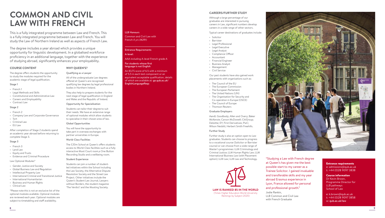## **COMMON AND CIVIL LAW WITH FRENCH**

This is a fully integrated programme between Law and French. This is a fully integrated programme between Law and French. You will study the Law of Northern Ireland as well as aspects of French Law.

The degree includes a year abroad which provides a unique opportunity for linguistic development. In a globalised workforce proficiency in an additional language, together with the experience of studying abroad, significantly enhances your employability.

#### **COURSE CONTENT**

The degree offers students the opportunity to study the modules required for the academic stage of legal qualification.

#### Stage 1

- French 1
- Legal Methods and Skills
- Constitutional and Administrative Law
- Careers and Employability
- Contract Law

#### Stage 2

- French 2
- Company Law and Corporate Governance
- Tort
- Criminal Law • EU Law
- 

After completion of Stage 2 students spend an academic year abroad before returning to complete Stage 3.

#### Stage 3

- French 3
- Land Law
- Equity and Trusts
- Evidence and Criminal Procedure

#### Law Optional Modules\*

- Gender, Justice and Society
- Global Business Law and Regulation
- Intellectual Property Law
- International Criminal and Transitional Justice • International Humanitarian
- Business and Human Rights
- Clinical Law

\*Please note this is not an exclusive list of the optional modules available. Optional modules are reviewed each year. Optional modules are subject to timetabling and staff availability.

#### LLB Honours

Common and Civil Law with French *4 yrs (M2R1)* 

#### Entrance Requirements

#### A-level:

AAA including A-level French grade A

#### For students whose first language is not English

An IELTS score of 6.5 with a minimum of 5.5 in each test component or an equivalent acceptable qualification, details of which are available at: go.qub.ac.uk/ EnglishLanguageReqs



Although a large percentage of our graduates are interested in pursuing careers in Law, significant numbers develop careers in a wide range of other sectors.

Typical career destinations of graduates include:

- Solicitor
- 
- Barrister<br>• Legal Professional
- Legal Executive
- Legal Analyst
- Compliance Officer
- Accountant
- Financial Engineer
- Business Analyst
- Management
- Civil Service

Our past students have also gained work placements with organisations such as:

- The Council of the EU
- The European Commission
- The European Parliament
- The United Nations (UN)
- The Organisation for Security and Co-operation in Europe (OSCE)
- The Council of Europe
- Thomson Reuters

#### Graduate Employers

AandL Goodbody; Allen and Overy; Baker McKenzie; Carson McDowell; CitiGroup; Deloitte: FY: First Derivatives: PwC: Wilson Nesbitt; Herbert Smith Freehills.

#### Further Study

Further study is also an option open to Law graduates. Students can choose to progress to a vocational course (Solicitor or Barrister course) or can choose from a wide range of Master's programmes: LLM Criminology and Criminal Justice; LLM Human Rights Law; LLM International Business Law (with Placement option); LLM Law; LLM Law and Technology.



(Times Higher Education World University Rankings by Subject 2020)

"Studying a Law with French degree at Queen's has given me the best possible start to my career as a Trainee Solicitor. I gained invaluable and transferable skills and my year abroad Erasmus experience in Lyon, France allowed for personal and professional growth."

Jodie Rankin, LLB Common and Civil Law with French Graduate

#### Entrance requirements e: admissions@qub.ac.uk t: +44 (0)28 9097 3838

#### Course information Dr Kevin Brown,

Programme Director for LLB pathways School of Law

e: k.brown@qub.ac.uk t: +44 (0)28 9097 3858 w: qub.ac.uk/law





### to specialise in their chosen area of law. Global Opportunities You will have the opportunity to

take part in overseas exchanges with partner universities in Europe.

All of the undergraduate Law degrees offered at Queen's are recognised qualifying law degrees by legal professional

They also help to prepare students for the next stage of legal qualification in England and Wales and the Republic of Ireland. Opportunity for Specialisation Students can tailor their degree to suit their needs. We have an extensive range of optional modules which allow students

#### World-Class Facilities

**WHY QUEEN'S?** Qualifying as a Lawyer

bodies in Northern Ireland.

The £20m School at Queen's offers students access to World-Class facilities such as a fully interactive Moot Court room,a One Button Recording Studio and a wellbeing room.

#### Student Experience

Students can join a number of studentled initiatives within the School including the Law Society, the Alternative Dispute Resolution Society and the Street Law Project. Other initiatives include the Queen's Student Law Journal, Lawyers without Borders, the student magazine 'The Verdict' and the Mooting Society.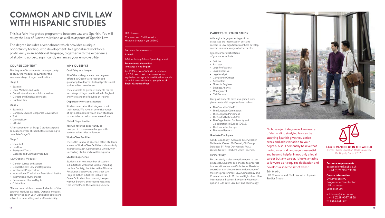## **COMMON AND CIVIL LAW WITH HISPANIC STUDIES**

This is a fully integrated programme between Law and Spanish. You will study the Law of Northern Ireland as well as aspects of Spanish Law.

The degree includes a year abroad which provides a unique opportunity for linguistic development. In a globalised workforce proficiency in an additional language, together with the experience of studying abroad, significantly enhances your employability.

#### **COURSE CONTENT**

**WHY QUEEN'S?**

Qualifying as a Lawyer

bodies in Northern Ireland.

The degree offers students the opportunity to study the modules required for the academic stage of legal qualification .

#### Stage 1

- Spanish 1
- Legal Methods and Skills
- Constitutional and Administrative Law
- Careers and Employability Skills
- Contract Law

#### Stage 2

- Spanish 2
- Company Law and Corporate Governance
- Tort
- Criminal Law
- $\cdot$  FU Law

After completion of Stage 2 students spend an academic year abroad before returning to complete Stage 3.

#### Stage 3

- Spanish 3
- Land Law
- Equity and Trusts • Evidence and Criminal Procedure
- 

#### Law Optional Modules\*

- Gender, Justice and Society
- Global Business Law and Regulation
- Intellectual Property Law
- International Criminal and Transitional Justice
- International Humanitarian
- Business and Human Rights
- Clinical Law

\*Please note this is not an exclusive list of the optional modules available. Optional modules are reviewed each year. Optional modules are subject to timetabling and staff availability.

#### LLB Honours

Common and Civil Law with Hispanic Studies *4 yrs (M2R4)*

### Entrance Requirements

#### A-level:

AAA including A-level Spanish grade A

#### For students whose first language is not English

An IELTS score of 6.5 with a minimum of 5.5 in each test component or an equivalent acceptable qualification, details of which are available at: go.qub.ac.uk/ EnglishLanguageReqs

#### **CAREERS/FURTHER STUDY**

Although a large percentage of our graduates are interested in pursuing careers in Law, significant numbers develop careers in a wide range of other sectors.

Typical career destinations of graduates include:

- Solicitor
- Barrister
- Legal Professional
- Legal Executive
- Legal Analyst
- Compliance Officer
- Accountant
- Financial Engineer
- Business Analyst
- Management
- Civil Service

Our past students have also gained work placements with organisations such as:

- The Council of the EU
- The European Commission
- The European Parliament
- The United Nations (UN)
- The Organisation for Security and Co-operation in Europe (OSCE)
- The Council of Europe • Thomson Reuters

#### Graduate Employers

AandL Goodbody; Allen and Overy; Baker McKenzie; Carson McDowell; CitiGroup; Deloitte; EY; First Derivatives; PwC; Wilson Nesbitt; Herbert Smith Freehills.

#### Further Study

Further study is also an option open to Law graduates. Students can choose to progress to a vocational course (Solicitor or Barrister course) or can choose from a wide range of Master's programmes: LLM Criminology and Criminal Justice; LLM Human Rights Law; LLM International Business Law (with Placement option); LLM Law; LLM Law and Technology.



"I chose a joint degree as I am aware of demanding studying law can be studying Spanish gives you a nice break and adds variation to your degree. Also, I personally believe that having a second language is essential and beyond helpful in not only a legal career but any career. It looks amazing to lawyers as it requires dedication and develops a specific set of skills." Erin Makin,

LLB Common and Civil Law with Hispanic Studies Student



Entrance requirements e: admissions@qub.ac.uk t: +44 (0)28 9097 3838

**LAW IS RANKED 85 IN THE WORLD** (Times Higher Education World University Rankings by Subject 2020)

e: k.brown@qub.ac.uk t: +44 (0)28 9097 3858 w: qub.ac.uk/law

### They also help to prepare students for the next stage of legal qualification in England and Wales and the Republic of Ireland.

#### Opportunity for Specialisation

All of the undergraduate Law degrees offered at Queen's are recognised qualifying law degrees by legal professional

Students can tailor their degree to suit their needs. We have an extensive range of optional modules which allow students to specialise in their chosen area of law.

#### Global Opportunities

You will have the opportunity to take part in overseas exchanges with partner universities in Europe.

#### World-Class Facilities

The £20m School at Queen's offers students access to World-Class facilities such as a fully interactive Moot Court room,a One Button Recording Studio and a wellbeing room.

#### Student Experience

Students can join a number of studentled initiatives within the School including the Law Society, the Alternative Dispute Resolution Society and the Street Law Project. Other initiatives include the Queen's Student Law Journal, Lawyers without Borders, the student magazine 'The Verdict' and the Mooting Society.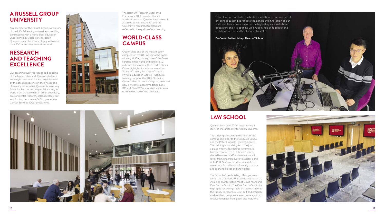### **A RUSSELL GROUP UNIVERSITY**

As a member of the Russell Group, we are one of the UK's 24 leading universities, providing our students with a world-class education underpinned by world-class research. Queen's researchers work closely with more than 250 universities around the world.

### **RESEARCH AND TEACHING EXCELLENCE**

Our teaching quality is recognised as being of the highest standard. Queen's students are taught by academics who are informed by the latest discoveries in their fields. The University has won five Queen's Anniversary Prizes for Further and Higher Education, for world-class achievement in green chemistry, environmental research, palaeoecology, law and for Northern Ireland's Comprehensive Cancer Services (CCS) programme.



The latest UK Research Excellence Framework 2014 revealed that all academic areas at Queen's have research assessed as 'world leading', and the University's research strengths are reflected in the quality of our teaching.

### **WORLD-CLASS CAMPUS**

Queen's has one of the most modern campuses in the UK, including the award winning McClay Library, one of the finest libraries in the world and home to 1.2 million volumes and 2,000 reader places. Other highlights include our new-look Students' Union, the state-of-the-art Physical Education Centre – used as a training camp for the 2012 Olympics. Queen's Elms Student Village or the brand new city centre accommodation Elms BT1 and Elms BT2 are located within easy walking distance of the University.



"The One Button Studio is a fantastic addition to our wonderful law school building. It reflects the genius and innovation of our staff, and their commitment to the highest-quality skills-based education; and it is opening up a huge range of feedback and collaboration possibilities for our students." **Professor Robin Hickey, Head of School**

### **LAW SCHOOL**

Queen's has spent £20m on providing a start-of-the-art facility for its law students.

The building is located in the heart of the campus next door to the Graduate School and the Peter Froggatt Teaching Centre. The building is not designed to be just a place where a law degree is earned. It has been conceived as a flexible space, shared between staff and students at all levels from undergraduate to Master's and onto PhD. Staff and students are able to meet both formally and informally to share and exchange ideas and knowledge.

The School of Law building offers genuine world-class facilities for learning and research, including an interactive Moot Court room and One Button Studio. The One Button Studio is a high-spec recording studio that gives students the facility to record, review, edit and critically analyse their own presence on camera, and to receive feedback from peers and lecturers.

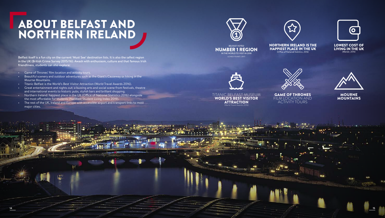## ABOUT BELFAST AND NORTHERN IRELAND

Belfast itself is a fun city on the current 'Must See' destination lists. It is also the safest region in the UK (British Crime Survey 2015/16). Awash with enthusiasm, culture and that famous Irish friendliness, students can also explore:

- Game of Thrones' film location and activity tours.
- Beautiful scenery and outdoor adventures such as the Giant's Causeway or hiking in the Mourne Mountains.
- Titanic Belfast is the World's Best Visitor Attraction (World Travel Awards 2016).
- Great entertainment and nights out; a buzzing arts and social scene from festivals, theatre and international events to historic pubs, stylish bars and brilliant shopping.
- Northern Ireland: happiest place in the UK (Office of National Statistics 2016) alongside the most affordable for students (NatWest Student Living Index 2019).
- The rest of the UK, Ireland and Europe with accessible airport and transport links to most major cities.







BELFAST VOTED NUMBER 1 REGION IN THE WORLD TO VISIT IN 2018 (LONELY PLANET, 2017)

**NORTHERN IRELAND IS THE** HAPPIEST PLACE IN THE UK Coffice of National Statistics. 2016)

**LOWEST COST OF** LIVING IN THE UK 



TITANIC BELFAST MUSEUM WORLD'S BEST VISITOR **ATTRACTION** (World Travel Awards 2016)

**14 15**

GAME OF THRONES FILM LOCATION AND ACTIVITY TOURS



MOURNE MOUNTAINS

444455